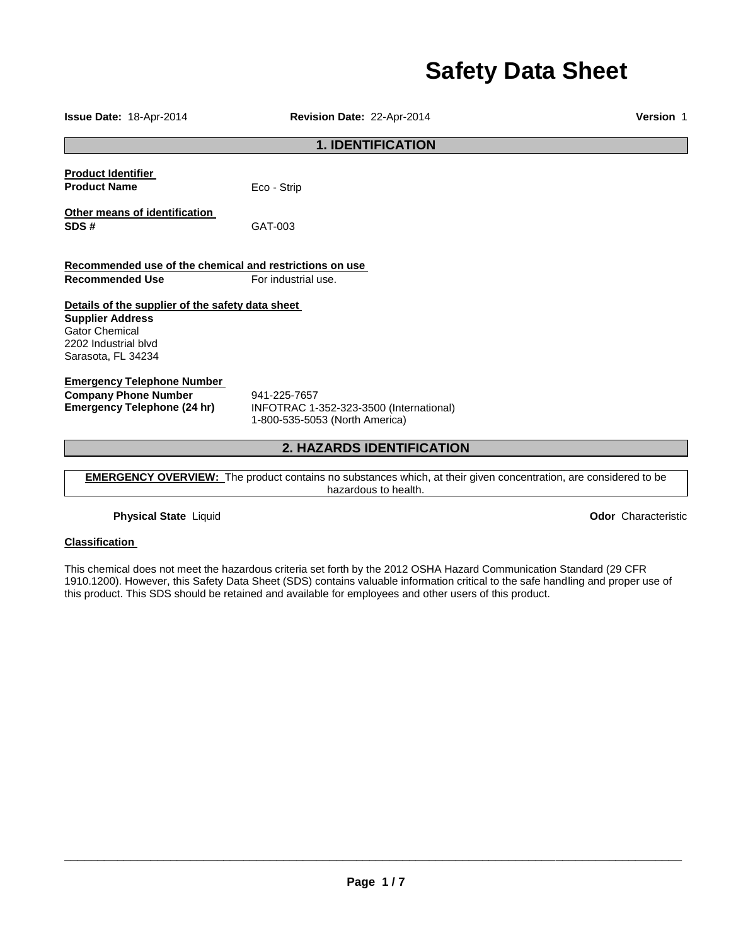# **Safety Data Sheet**

| Issue Date: 18-Apr-2014                                                                                                                            | Revision Date: 22-Apr-2014                                                                | Version 1 |  |
|----------------------------------------------------------------------------------------------------------------------------------------------------|-------------------------------------------------------------------------------------------|-----------|--|
| <b>1. IDENTIFICATION</b>                                                                                                                           |                                                                                           |           |  |
| <b>Product Identifier</b><br><b>Product Name</b>                                                                                                   | Eco - Strip                                                                               |           |  |
| Other means of identification<br>SDS#                                                                                                              | GAT-003                                                                                   |           |  |
| Recommended use of the chemical and restrictions on use<br><b>Recommended Use</b>                                                                  | For industrial use.                                                                       |           |  |
| Details of the supplier of the safety data sheet<br><b>Supplier Address</b><br><b>Gator Chemical</b><br>2202 Industrial blvd<br>Sarasota, FL 34234 |                                                                                           |           |  |
| <b>Emergency Telephone Number</b><br><b>Company Phone Number</b><br><b>Emergency Telephone (24 hr)</b>                                             | 941-225-7657<br>INFOTRAC 1-352-323-3500 (International)<br>1-800-535-5053 (North America) |           |  |
| <b>2. HAZARDS IDENTIFICATION</b>                                                                                                                   |                                                                                           |           |  |

**EMERGENCY OVERVIEW:** The product contains no substances which, at their given concentration, are considered to be hazardous to health.

**Physical State** Liquid **Odor** Characteristic

# **Classification**

This chemical does not meet the hazardous criteria set forth by the 2012 OSHA Hazard Communication Standard (29 CFR 1910.1200). However, this Safety Data Sheet (SDS) contains valuable information critical to the safe handling and proper use of this product. This SDS should be retained and available for employees and other users of this product.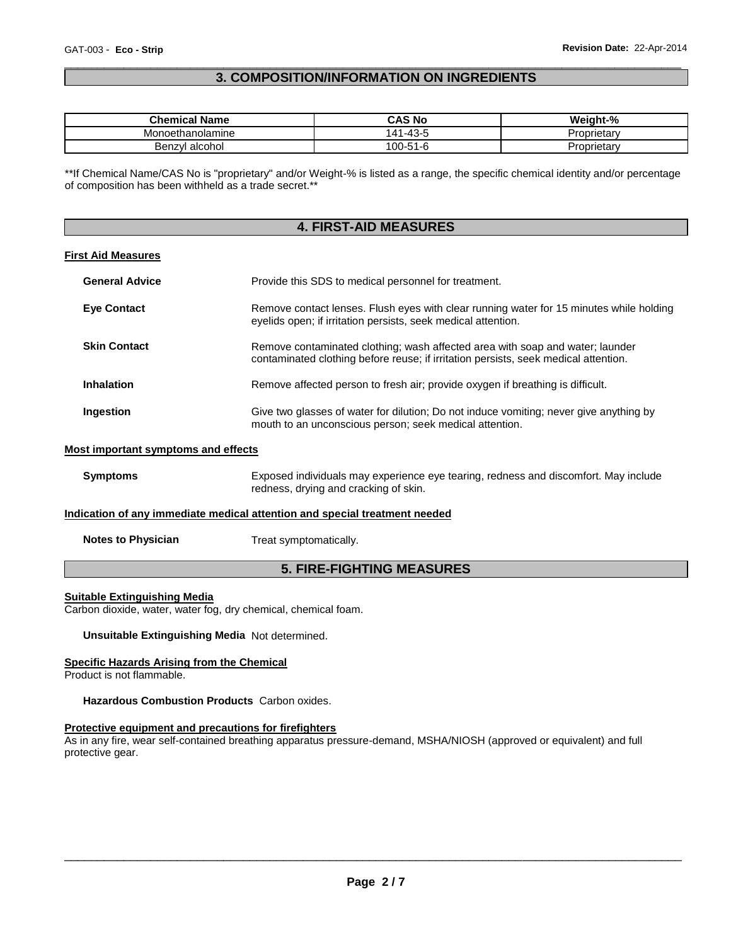# \_\_\_\_\_\_\_\_\_\_\_\_\_\_\_\_\_\_\_\_\_\_\_\_\_\_\_\_\_\_\_\_\_\_\_\_\_\_\_\_\_\_\_\_\_\_\_\_\_\_\_\_\_\_\_\_\_\_\_\_\_\_\_\_\_\_\_\_\_\_\_\_\_\_\_\_\_\_\_\_\_\_\_\_\_\_\_\_\_\_\_\_\_ **3. COMPOSITION/INFORMATION ON INGREDIENTS**

| <b>Chemical Name</b> | CAS No              | Weight-%    |
|----------------------|---------------------|-------------|
| Monoethanolamine     | -43-<br>$\Lambda$ 1 | oprietary،  |
| Benzvl alcohol       | $100 - 51 - 6$      | , oprietar∨ |

\*\*If Chemical Name/CAS No is "proprietary" and/or Weight-% is listed as a range, the specific chemical identity and/or percentage of composition has been withheld as a trade secret.\*\*

# **4. FIRST-AID MEASURES**

#### **First Aid Measures**

| <b>General Advice</b> | Provide this SDS to medical personnel for treatment.                                                                                                                 |
|-----------------------|----------------------------------------------------------------------------------------------------------------------------------------------------------------------|
| <b>Eve Contact</b>    | Remove contact lenses. Flush eyes with clear running water for 15 minutes while holding<br>eyelids open; if irritation persists, seek medical attention.             |
| <b>Skin Contact</b>   | Remove contaminated clothing; wash affected area with soap and water; launder<br>contaminated clothing before reuse; if irritation persists, seek medical attention. |
| <b>Inhalation</b>     | Remove affected person to fresh air; provide oxygen if breathing is difficult.                                                                                       |
| Ingestion             | Give two glasses of water for dilution; Do not induce vomiting; never give anything by<br>mouth to an unconscious person; seek medical attention.                    |

#### **Most important symptoms and effects**

| <b>Symptoms</b> | Exposed individuals may experience eye tearing, redness and discomfort. May include |
|-----------------|-------------------------------------------------------------------------------------|
|                 | redness, drying and cracking of skin.                                               |
|                 |                                                                                     |

# **Indication of any immediate medical attention and special treatment needed**

**Notes to Physician Treat symptomatically.** 

# **5. FIRE-FIGHTING MEASURES**

#### **Suitable Extinguishing Media**

Carbon dioxide, water, water fog, dry chemical, chemical foam.

**Unsuitable Extinguishing Media** Not determined.

### **Specific Hazards Arising from the Chemical**

Product is not flammable.

**Hazardous Combustion Products** Carbon oxides.

#### **Protective equipment and precautions for firefighters**

As in any fire, wear self-contained breathing apparatus pressure-demand, MSHA/NIOSH (approved or equivalent) and full protective gear.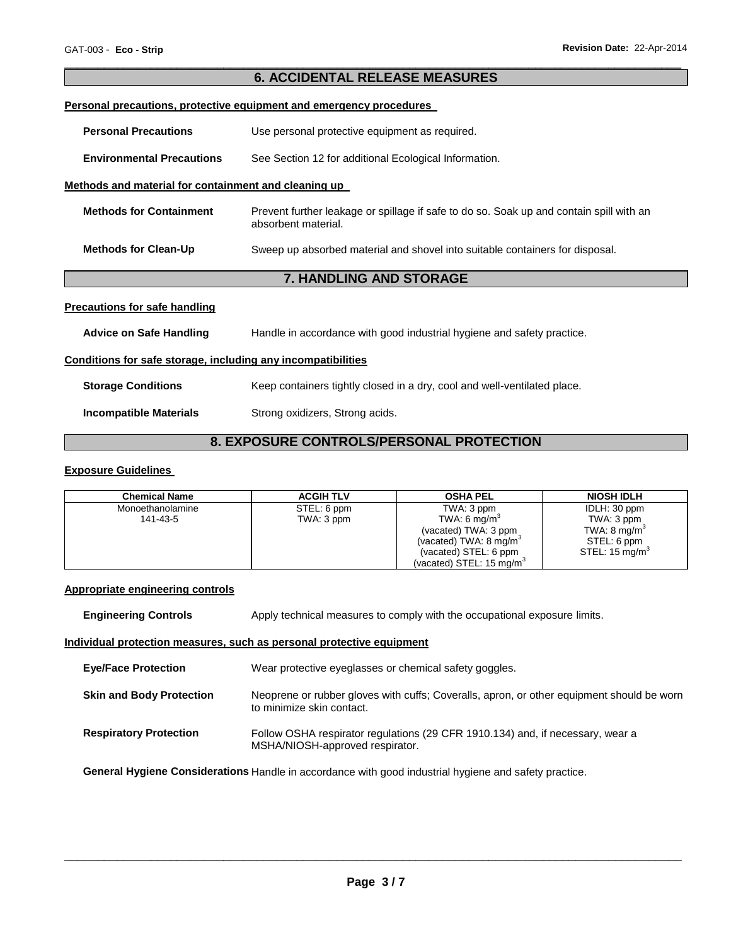|                                                                     | <b>6. ACCIDENTAL RELEASE MEASURES</b>                                                                          |  |  |
|---------------------------------------------------------------------|----------------------------------------------------------------------------------------------------------------|--|--|
| Personal precautions, protective equipment and emergency procedures |                                                                                                                |  |  |
| <b>Personal Precautions</b>                                         | Use personal protective equipment as required.                                                                 |  |  |
| <b>Environmental Precautions</b>                                    | See Section 12 for additional Ecological Information.                                                          |  |  |
| Methods and material for containment and cleaning up                |                                                                                                                |  |  |
| <b>Methods for Containment</b>                                      | Prevent further leakage or spillage if safe to do so. Soak up and contain spill with an<br>absorbent material. |  |  |
| <b>Methods for Clean-Up</b>                                         | Sweep up absorbed material and shovel into suitable containers for disposal.                                   |  |  |
|                                                                     | <b>7. HANDLING AND STORAGE</b>                                                                                 |  |  |
| <b>Precautions for safe handling</b>                                |                                                                                                                |  |  |
| <b>Advice on Safe Handling</b>                                      | Handle in accordance with good industrial hygiene and safety practice.                                         |  |  |
| Conditions for safe storage, including any incompatibilities        |                                                                                                                |  |  |
| <b>Storage Conditions</b>                                           | Keep containers tightly closed in a dry, cool and well-ventilated place.                                       |  |  |

\_\_\_\_\_\_\_\_\_\_\_\_\_\_\_\_\_\_\_\_\_\_\_\_\_\_\_\_\_\_\_\_\_\_\_\_\_\_\_\_\_\_\_\_\_\_\_\_\_\_\_\_\_\_\_\_\_\_\_\_\_\_\_\_\_\_\_\_\_\_\_\_\_\_\_\_\_\_\_\_\_\_\_\_\_\_\_\_\_\_\_\_\_

**Incompatible Materials Strong oxidizers, Strong acids.** 

# **8. EXPOSURE CONTROLS/PERSONAL PROTECTION**

# **Exposure Guidelines**

| <b>Chemical Name</b> | <b>ACGIH TLV</b> | <b>OSHA PEL</b>                      | <b>NIOSH IDLH</b>         |
|----------------------|------------------|--------------------------------------|---------------------------|
| Monoethanolamine     | STEL: 6 ppm      | TWA: 3 ppm                           | IDLH: 30 ppm              |
| 141-43-5             | TWA: 3 ppm       | TWA: 6 mg/m <sup>3</sup>             | TWA: 3 ppm                |
|                      |                  | (vacated) TWA: 3 ppm                 | TWA: $8 \text{ mg/m}^3$   |
|                      |                  | (vacated) TWA: $8 \text{ mg/m}^3$    | STEL: 6 ppm               |
|                      |                  | (vacated) STEL: 6 ppm                | STEL: $15 \text{ mg/m}^3$ |
|                      |                  | (vacated) STEL: 15 mg/m <sup>3</sup> |                           |

# **Appropriate engineering controls**

| <b>Engineering Controls</b>                                           | Apply technical measures to comply with the occupational exposure limits.                                              |  |  |  |
|-----------------------------------------------------------------------|------------------------------------------------------------------------------------------------------------------------|--|--|--|
| Individual protection measures, such as personal protective equipment |                                                                                                                        |  |  |  |
| <b>Eve/Face Protection</b>                                            | Wear protective eyeglasses or chemical safety goggles.                                                                 |  |  |  |
| <b>Skin and Body Protection</b>                                       | Neoprene or rubber gloves with cuffs; Coveralls, apron, or other equipment should be worn<br>to minimize skin contact. |  |  |  |
| <b>Respiratory Protection</b>                                         | Follow OSHA respirator regulations (29 CFR 1910.134) and, if necessary, wear a<br>MSHA/NIOSH-approved respirator.      |  |  |  |

**General Hygiene Considerations** Handle in accordance with good industrial hygiene and safety practice.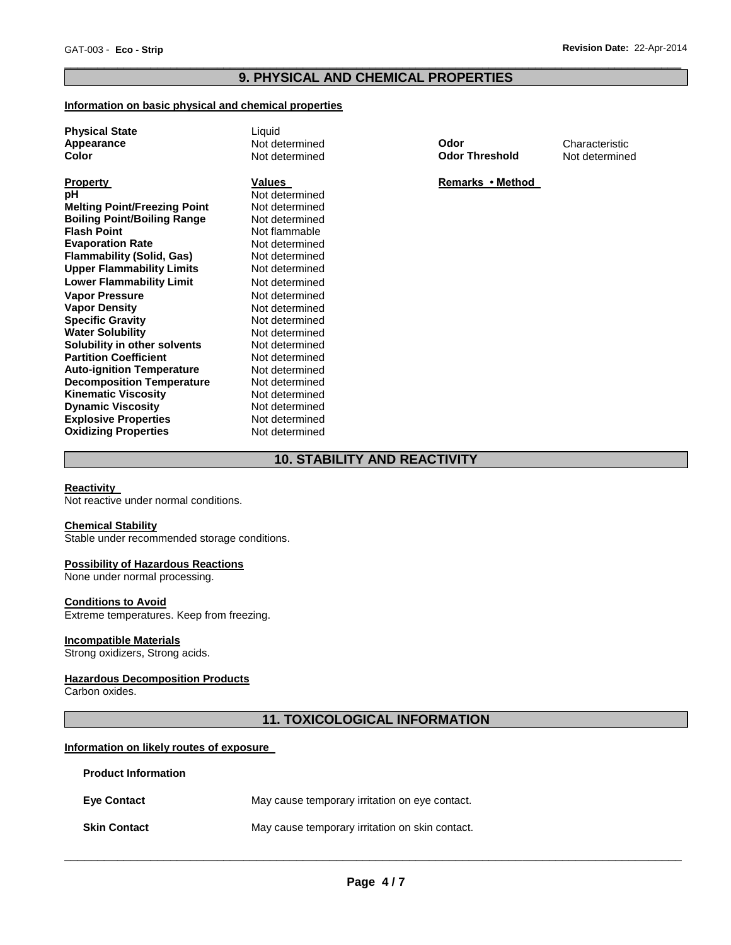# \_\_\_\_\_\_\_\_\_\_\_\_\_\_\_\_\_\_\_\_\_\_\_\_\_\_\_\_\_\_\_\_\_\_\_\_\_\_\_\_\_\_\_\_\_\_\_\_\_\_\_\_\_\_\_\_\_\_\_\_\_\_\_\_\_\_\_\_\_\_\_\_\_\_\_\_\_\_\_\_\_\_\_\_\_\_\_\_\_\_\_\_\_ **9. PHYSICAL AND CHEMICAL PROPERTIES**

#### **Information on basic physical and chemical properties**

| <b>Physical State</b><br>Appearance<br>Color |  |
|----------------------------------------------|--|
| <b>Property</b><br>рH<br>M                   |  |

**Melting Point/Freezing Point** and Not determined<br> **Boiling Point/Boiling Range** Mot determined **Boiling Point/Boiling Range<br>Flash Point Evaporation Rate 68 Mot determined<br>
<b>Flammability (Solid. Gas)** Not determined **Flammability (Solid, Gas) Not determined**<br> **Upper Flammability Limits** Not determined **Upper Flammability Limits Lower Flammability Limit** Not determined **Vapor Pressure 1988** Not determined<br> **Vapor Density** 1989 Not determined **Vapor Density Specific Gravity Not determined Water Solubility <b>Water Solubility Not determined**<br> **Solubility in other solvents** Not determined **Solubility in other solvents Not determined**<br> **Partition Coefficient Not determined Partition Coefficient Not determined**<br> **Auto-ignition Temperature** Not determined **Auto-ignition Temperature Mot determined Decomposition Temperature Algebra Not determined Decomposition Temperature Not determined Kinematic Viscosity Not determined Kinematic Viscosity**<br> **Communic Viscosity**<br> **Not determined Dynamic Viscosity**<br> **Explosive Properties**<br>
Not determined **Explosive Properties**<br> **Oxidizing Properties**<br>
Not determined **Oxidizing Properties** 

**Not determined Not flammable**<br>Not determined

Liquid

**Apple determined Mot determined Characteristic Characteristic<br>
<b>Apple determined Codor Threshold** Not determine **Odor Threshold** Not determined

**Property Values Property Remarks • Method** 

# **10. STABILITY AND REACTIVITY**

#### **Reactivity**

Not reactive under normal conditions.

#### **Chemical Stability**

Stable under recommended storage conditions.

#### **Possibility of Hazardous Reactions**

None under normal processing.

#### **Conditions to Avoid**

Extreme temperatures. Keep from freezing.

#### **Incompatible Materials**

Strong oxidizers, Strong acids.

**Product Information** 

#### **Hazardous Decomposition Products**

Carbon oxides.

# **11. TOXICOLOGICAL INFORMATION**

### **Information on likely routes of exposure**

| Product Information |                                                 |
|---------------------|-------------------------------------------------|
| <b>Eve Contact</b>  | May cause temporary irritation on eye contact.  |
| <b>Skin Contact</b> | May cause temporary irritation on skin contact. |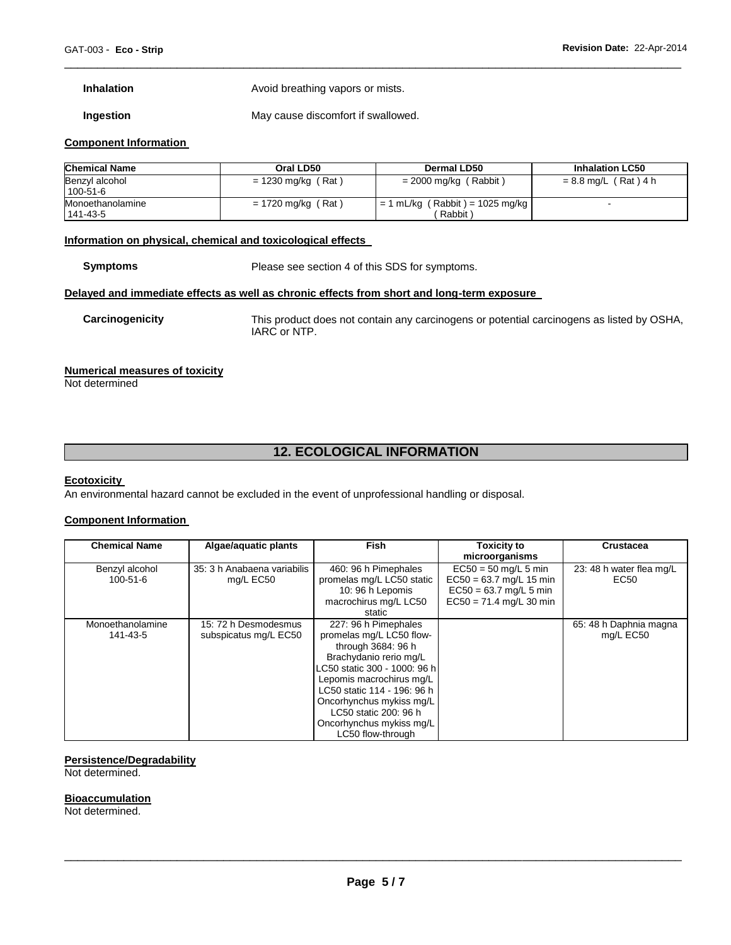**Inhalation Avoid breathing vapors or mists.** 

**Ingestion May cause discomfort if swallowed.** 

#### **Component Information**

| <b>Chemical Name</b>         | Oral LD50            | Dermal LD50                                  | <b>Inhalation LC50</b> |
|------------------------------|----------------------|----------------------------------------------|------------------------|
| Benzyl alcohol<br>100-51-6   | $= 1230$ mg/kg (Rat) | $= 2000$ mg/kg (Rabbit)                      | = 8.8 mg/L (Rat)4 h    |
| Monoethanolamine<br>141-43-5 | = 1720 mg/kg (Rat)   | $= 1$ mL/kg (Rabbit) = 1025 mg/kg<br>Rabbit) |                        |

\_\_\_\_\_\_\_\_\_\_\_\_\_\_\_\_\_\_\_\_\_\_\_\_\_\_\_\_\_\_\_\_\_\_\_\_\_\_\_\_\_\_\_\_\_\_\_\_\_\_\_\_\_\_\_\_\_\_\_\_\_\_\_\_\_\_\_\_\_\_\_\_\_\_\_\_\_\_\_\_\_\_\_\_\_\_\_\_\_\_\_\_\_

#### **Information on physical, chemical and toxicological effects**

**Symptoms** Please see section 4 of this SDS for symptoms.

#### **Delayed and immediate effects as well as chronic effects from short and long-term exposure**

**Carcinogenicity** This product does not contain any carcinogens or potential carcinogens as listed by OSHA, IARC or NTP.

#### **Numerical measures of toxicity**

Not determined

# **12. ECOLOGICAL INFORMATION**

#### **Ecotoxicity**

An environmental hazard cannot be excluded in the event of unprofessional handling or disposal.

#### **Component Information**

| <b>Chemical Name</b> | Algae/aquatic plants        | <b>Fish</b>                  | <b>Toxicity to</b>        | <b>Crustacea</b>         |
|----------------------|-----------------------------|------------------------------|---------------------------|--------------------------|
|                      |                             |                              | microorganisms            |                          |
| Benzyl alcohol       | 35: 3 h Anabaena variabilis | 460: 96 h Pimephales         | $EC50 = 50$ mg/L 5 min    | 23: 48 h water flea mg/L |
| 100-51-6             | mg/L EC50                   | promelas mg/L LC50 static    | $EC50 = 63.7$ mg/L 15 min | EC50                     |
|                      |                             | 10: 96 h Lepomis             | $EC50 = 63.7$ mg/L 5 min  |                          |
|                      |                             | macrochirus mg/L LC50        | $EC50 = 71.4$ mg/L 30 min |                          |
|                      |                             | static                       |                           |                          |
| Monoethanolamine     | 15: 72 h Desmodesmus        | 227: 96 h Pimephales         |                           | 65: 48 h Daphnia magna   |
| 141-43-5             | subspicatus mg/L EC50       | promelas mg/L LC50 flow-     |                           | mg/L EC50                |
|                      |                             | through 3684: 96 h           |                           |                          |
|                      |                             | Brachydanio rerio mg/L       |                           |                          |
|                      |                             | LC50 static 300 - 1000: 96 h |                           |                          |
|                      |                             | Lepomis macrochirus mg/L     |                           |                          |
|                      |                             | LC50 static 114 - 196: 96 h  |                           |                          |
|                      |                             | Oncorhynchus mykiss mg/L     |                           |                          |
|                      |                             | LC50 static 200: 96 h        |                           |                          |
|                      |                             | Oncorhynchus mykiss mg/L     |                           |                          |
|                      |                             | LC50 flow-through            |                           |                          |

### **Persistence/Degradability**

Not determined.

#### **Bioaccumulation**

Not determined.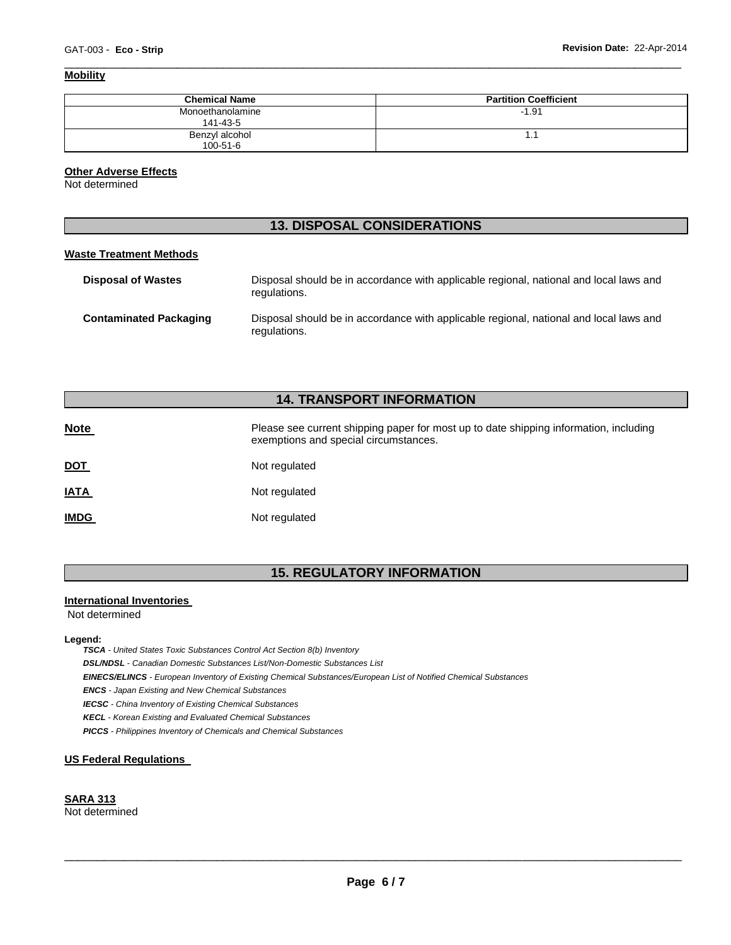### **Mobility**

| <b>Chemical Name</b>         | <b>Partition Coefficient</b> |
|------------------------------|------------------------------|
| Monoethanolamine<br>141-43-5 | $-1.91$                      |
| Benzyl alcohol<br>100-51-6   | 1.1                          |

\_\_\_\_\_\_\_\_\_\_\_\_\_\_\_\_\_\_\_\_\_\_\_\_\_\_\_\_\_\_\_\_\_\_\_\_\_\_\_\_\_\_\_\_\_\_\_\_\_\_\_\_\_\_\_\_\_\_\_\_\_\_\_\_\_\_\_\_\_\_\_\_\_\_\_\_\_\_\_\_\_\_\_\_\_\_\_\_\_\_\_\_\_

#### **Other Adverse Effects**

Not determined

# **13. DISPOSAL CONSIDERATIONS**

#### **Waste Treatment Methods**

| <b>Disposal of Wastes</b>     | Disposal should be in accordance with applicable regional, national and local laws and<br>regulations. |
|-------------------------------|--------------------------------------------------------------------------------------------------------|
| <b>Contaminated Packaging</b> | Disposal should be in accordance with applicable regional, national and local laws and<br>regulations. |

# **14. TRANSPORT INFORMATION**

| <b>Note</b> | Please see current shipping paper for most up to date shipping information, including<br>exemptions and special circumstances. |
|-------------|--------------------------------------------------------------------------------------------------------------------------------|
| <u>DOT</u>  | Not regulated                                                                                                                  |
| <u>IATA</u> | Not regulated                                                                                                                  |
| <b>IMDG</b> | Not regulated                                                                                                                  |

# **15. REGULATORY INFORMATION**

#### **International Inventories**

Not determined

#### **Legend:**

*TSCA - United States Toxic Substances Control Act Section 8(b) Inventory* 

*DSL/NDSL - Canadian Domestic Substances List/Non-Domestic Substances List* 

*EINECS/ELINCS - European Inventory of Existing Chemical Substances/European List of Notified Chemical Substances* 

*ENCS - Japan Existing and New Chemical Substances* 

*IECSC - China Inventory of Existing Chemical Substances* 

*KECL - Korean Existing and Evaluated Chemical Substances* 

*PICCS - Philippines Inventory of Chemicals and Chemical Substances* 

#### **US Federal Regulations**

#### **SARA 313**

Not determined